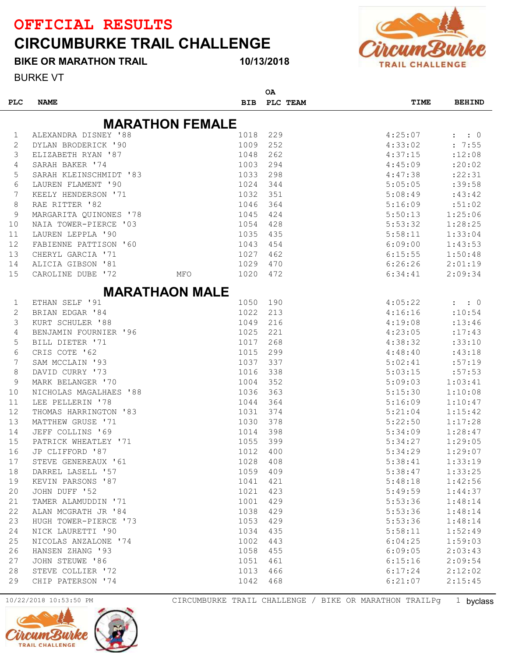## CIRCUMBURKE TRAIL CHALLENGE

BIKE OR MARATHON TRAIL

10/13/2018

 $\sim$ 



BURKE VT

| <b>MARATHON FEMALE</b><br>ALEXANDRA DISNEY '88<br>1018<br>229<br>4:25:07<br>$\mathbf{L}$<br>$\colon 0$<br>1<br>1009<br>252<br>4:33:02<br>2<br>DYLAN BRODERICK '90<br>: 7:55<br>1048<br>262<br>4:37:15<br>:12:08<br>3<br>ELIZABETH RYAN '87<br>1003<br>294<br>4:45:09<br>: 20:02<br>SARAH BAKER '74<br>4<br>5<br>1033<br>298<br>4:47:38<br>: 22:31<br>SARAH KLEINSCHMIDT '83<br>6<br>1024<br>5:05:05<br>:39:58<br>LAUREN FLAMENT '90<br>344<br>7<br>1032<br>351<br>5:08:49<br>:43:42<br>KEELY HENDERSON '71<br>RAE RITTER '82<br>1046<br>364<br>5:16:09<br>8<br>:51:02<br>9<br>1045<br>424<br>5:50:13<br>1:25:06<br>MARGARITA QUINONES '78<br>1054<br>428<br>5:53:32<br>1:28:25<br>10<br>NAIA TOWER-PIERCE '03<br>1035<br>435<br>5:58:11<br>1:33:04<br>11<br>LAUREN LEPPLA '90<br>1043<br>6:09:00<br>1:43:53<br>12<br>FABIENNE PATTISON '60<br>454<br>1027<br>1:50:48<br>13<br>CHERYL GARCIA '71<br>462<br>6:15:55<br>1029<br>2:01:19<br>14<br>ALICIA GIBSON '81<br>470<br>6:26:26<br>15<br>CAROLINE DUBE '72<br>1020<br>472<br>6:34:41<br>2:09:34<br>MFO<br><b>MARATHAON MALE</b><br>ETHAN SELF '91<br>1050<br>190<br>4:05:22<br>1<br>$: \quad : \quad 0$<br>2<br>1022<br>213<br>4:16:16<br>BRIAN EDGAR '84<br>:10:54<br>3<br>216<br>KURT SCHULER '88<br>1049<br>4:19:08<br>: 13:46<br>1025<br>221<br>BENJAMIN FOURNIER '96<br>4:23:05<br>: 17:43<br>4<br>5<br>BILL DIETER '71<br>1017<br>268<br>4:38:32<br>:33:10<br>6<br>CRIS COTE '62<br>1015<br>299<br>4:48:40<br>:43:18<br>7<br>SAM MCCLAIN '93<br>1037<br>337<br>5:02:41<br>:57:19<br>8<br>DAVID CURRY '73<br>338<br>5:03:15<br>1016<br>:57:53<br>352<br>9<br>MARK BELANGER '70<br>1004<br>5:09:03<br>1:03:41<br>1036<br>363<br>10<br>NICHOLAS MAGALHAES '88<br>5:15:30<br>1:10:08<br>LEE PELLERIN '78<br>364<br>5:16:09<br>1:10:47<br>11<br>1044<br>12<br>1031<br>374<br>1:15:42<br>THOMAS HARRINGTON '83<br>5:21:04<br>MATTHEW GRUSE '71<br>1030<br>378<br>1:17:28<br>13<br>5:22:50<br>JEFF COLLINS '69<br>398<br>1:28:47<br>14<br>1014<br>5:34:09<br>1055<br>399<br>1:29:05<br>15<br>PATRICK WHEATLEY '71<br>5:34:27<br>16<br>JP CLIFFORD '87<br>1012<br>1:29:07<br>400<br>5:34:29<br>1028<br>408<br>1:33:19<br>STEVE GENEREAUX '61<br>5:38:41<br>17<br>DARREL LASELL '57<br>1059<br>409<br>5:38:47<br>1:33:25<br>18<br>KEVIN PARSONS '87<br>421<br>19<br>1041<br>5:48:18<br>1:42:56<br>JOHN DUFF '52<br>1021<br>423<br>20<br>5:49:59<br>1:44:37<br>TAMER ALAMUDDIN '71<br>1001<br>429<br>21<br>5:53:36<br>1:48:14<br>22<br>ALAN MCGRATH JR '84<br>1038<br>429<br>5:53:36<br>1:48:14<br>HUGH TOWER-PIERCE '73<br>1053<br>429<br>23<br>5:53:36<br>1:48:14<br>NICK LAURETTI '90<br>1034<br>435<br>24<br>5:58:11<br>1:52:49<br>25<br>NICOLAS ANZALONE '74<br>1002<br>443<br>6:04:25<br>1:59:03<br>HANSEN ZHANG '93<br>1058<br>455<br>26<br>6:09:05<br>2:03:43<br>JOHN STEUWE '86<br>1051<br>461<br>27<br>6:15:16<br>2:09:54<br>STEVE COLLIER '72<br>1013<br>466<br>28<br>6:17:24<br>2:12:02 | <b>PLC</b> | <b>NAME</b>       | <b>BIB</b> | UΑ  | PLC TEAM | TIME    | <b>BEHIND</b> |
|---------------------------------------------------------------------------------------------------------------------------------------------------------------------------------------------------------------------------------------------------------------------------------------------------------------------------------------------------------------------------------------------------------------------------------------------------------------------------------------------------------------------------------------------------------------------------------------------------------------------------------------------------------------------------------------------------------------------------------------------------------------------------------------------------------------------------------------------------------------------------------------------------------------------------------------------------------------------------------------------------------------------------------------------------------------------------------------------------------------------------------------------------------------------------------------------------------------------------------------------------------------------------------------------------------------------------------------------------------------------------------------------------------------------------------------------------------------------------------------------------------------------------------------------------------------------------------------------------------------------------------------------------------------------------------------------------------------------------------------------------------------------------------------------------------------------------------------------------------------------------------------------------------------------------------------------------------------------------------------------------------------------------------------------------------------------------------------------------------------------------------------------------------------------------------------------------------------------------------------------------------------------------------------------------------------------------------------------------------------------------------------------------------------------------------------------------------------------------------------------------------------------------------------------------------------------------------------------------------------------------------------------------------------------------------------------------------------------------------------------------------------------------------------------------------------------------------------------------------------------------------------------------------------------------------------------------|------------|-------------------|------------|-----|----------|---------|---------------|
|                                                                                                                                                                                                                                                                                                                                                                                                                                                                                                                                                                                                                                                                                                                                                                                                                                                                                                                                                                                                                                                                                                                                                                                                                                                                                                                                                                                                                                                                                                                                                                                                                                                                                                                                                                                                                                                                                                                                                                                                                                                                                                                                                                                                                                                                                                                                                                                                                                                                                                                                                                                                                                                                                                                                                                                                                                                                                                                                                   |            |                   |            |     |          |         |               |
|                                                                                                                                                                                                                                                                                                                                                                                                                                                                                                                                                                                                                                                                                                                                                                                                                                                                                                                                                                                                                                                                                                                                                                                                                                                                                                                                                                                                                                                                                                                                                                                                                                                                                                                                                                                                                                                                                                                                                                                                                                                                                                                                                                                                                                                                                                                                                                                                                                                                                                                                                                                                                                                                                                                                                                                                                                                                                                                                                   |            |                   |            |     |          |         |               |
|                                                                                                                                                                                                                                                                                                                                                                                                                                                                                                                                                                                                                                                                                                                                                                                                                                                                                                                                                                                                                                                                                                                                                                                                                                                                                                                                                                                                                                                                                                                                                                                                                                                                                                                                                                                                                                                                                                                                                                                                                                                                                                                                                                                                                                                                                                                                                                                                                                                                                                                                                                                                                                                                                                                                                                                                                                                                                                                                                   |            |                   |            |     |          |         |               |
|                                                                                                                                                                                                                                                                                                                                                                                                                                                                                                                                                                                                                                                                                                                                                                                                                                                                                                                                                                                                                                                                                                                                                                                                                                                                                                                                                                                                                                                                                                                                                                                                                                                                                                                                                                                                                                                                                                                                                                                                                                                                                                                                                                                                                                                                                                                                                                                                                                                                                                                                                                                                                                                                                                                                                                                                                                                                                                                                                   |            |                   |            |     |          |         |               |
|                                                                                                                                                                                                                                                                                                                                                                                                                                                                                                                                                                                                                                                                                                                                                                                                                                                                                                                                                                                                                                                                                                                                                                                                                                                                                                                                                                                                                                                                                                                                                                                                                                                                                                                                                                                                                                                                                                                                                                                                                                                                                                                                                                                                                                                                                                                                                                                                                                                                                                                                                                                                                                                                                                                                                                                                                                                                                                                                                   |            |                   |            |     |          |         |               |
|                                                                                                                                                                                                                                                                                                                                                                                                                                                                                                                                                                                                                                                                                                                                                                                                                                                                                                                                                                                                                                                                                                                                                                                                                                                                                                                                                                                                                                                                                                                                                                                                                                                                                                                                                                                                                                                                                                                                                                                                                                                                                                                                                                                                                                                                                                                                                                                                                                                                                                                                                                                                                                                                                                                                                                                                                                                                                                                                                   |            |                   |            |     |          |         |               |
|                                                                                                                                                                                                                                                                                                                                                                                                                                                                                                                                                                                                                                                                                                                                                                                                                                                                                                                                                                                                                                                                                                                                                                                                                                                                                                                                                                                                                                                                                                                                                                                                                                                                                                                                                                                                                                                                                                                                                                                                                                                                                                                                                                                                                                                                                                                                                                                                                                                                                                                                                                                                                                                                                                                                                                                                                                                                                                                                                   |            |                   |            |     |          |         |               |
|                                                                                                                                                                                                                                                                                                                                                                                                                                                                                                                                                                                                                                                                                                                                                                                                                                                                                                                                                                                                                                                                                                                                                                                                                                                                                                                                                                                                                                                                                                                                                                                                                                                                                                                                                                                                                                                                                                                                                                                                                                                                                                                                                                                                                                                                                                                                                                                                                                                                                                                                                                                                                                                                                                                                                                                                                                                                                                                                                   |            |                   |            |     |          |         |               |
|                                                                                                                                                                                                                                                                                                                                                                                                                                                                                                                                                                                                                                                                                                                                                                                                                                                                                                                                                                                                                                                                                                                                                                                                                                                                                                                                                                                                                                                                                                                                                                                                                                                                                                                                                                                                                                                                                                                                                                                                                                                                                                                                                                                                                                                                                                                                                                                                                                                                                                                                                                                                                                                                                                                                                                                                                                                                                                                                                   |            |                   |            |     |          |         |               |
|                                                                                                                                                                                                                                                                                                                                                                                                                                                                                                                                                                                                                                                                                                                                                                                                                                                                                                                                                                                                                                                                                                                                                                                                                                                                                                                                                                                                                                                                                                                                                                                                                                                                                                                                                                                                                                                                                                                                                                                                                                                                                                                                                                                                                                                                                                                                                                                                                                                                                                                                                                                                                                                                                                                                                                                                                                                                                                                                                   |            |                   |            |     |          |         |               |
|                                                                                                                                                                                                                                                                                                                                                                                                                                                                                                                                                                                                                                                                                                                                                                                                                                                                                                                                                                                                                                                                                                                                                                                                                                                                                                                                                                                                                                                                                                                                                                                                                                                                                                                                                                                                                                                                                                                                                                                                                                                                                                                                                                                                                                                                                                                                                                                                                                                                                                                                                                                                                                                                                                                                                                                                                                                                                                                                                   |            |                   |            |     |          |         |               |
|                                                                                                                                                                                                                                                                                                                                                                                                                                                                                                                                                                                                                                                                                                                                                                                                                                                                                                                                                                                                                                                                                                                                                                                                                                                                                                                                                                                                                                                                                                                                                                                                                                                                                                                                                                                                                                                                                                                                                                                                                                                                                                                                                                                                                                                                                                                                                                                                                                                                                                                                                                                                                                                                                                                                                                                                                                                                                                                                                   |            |                   |            |     |          |         |               |
|                                                                                                                                                                                                                                                                                                                                                                                                                                                                                                                                                                                                                                                                                                                                                                                                                                                                                                                                                                                                                                                                                                                                                                                                                                                                                                                                                                                                                                                                                                                                                                                                                                                                                                                                                                                                                                                                                                                                                                                                                                                                                                                                                                                                                                                                                                                                                                                                                                                                                                                                                                                                                                                                                                                                                                                                                                                                                                                                                   |            |                   |            |     |          |         |               |
|                                                                                                                                                                                                                                                                                                                                                                                                                                                                                                                                                                                                                                                                                                                                                                                                                                                                                                                                                                                                                                                                                                                                                                                                                                                                                                                                                                                                                                                                                                                                                                                                                                                                                                                                                                                                                                                                                                                                                                                                                                                                                                                                                                                                                                                                                                                                                                                                                                                                                                                                                                                                                                                                                                                                                                                                                                                                                                                                                   |            |                   |            |     |          |         |               |
|                                                                                                                                                                                                                                                                                                                                                                                                                                                                                                                                                                                                                                                                                                                                                                                                                                                                                                                                                                                                                                                                                                                                                                                                                                                                                                                                                                                                                                                                                                                                                                                                                                                                                                                                                                                                                                                                                                                                                                                                                                                                                                                                                                                                                                                                                                                                                                                                                                                                                                                                                                                                                                                                                                                                                                                                                                                                                                                                                   |            |                   |            |     |          |         |               |
|                                                                                                                                                                                                                                                                                                                                                                                                                                                                                                                                                                                                                                                                                                                                                                                                                                                                                                                                                                                                                                                                                                                                                                                                                                                                                                                                                                                                                                                                                                                                                                                                                                                                                                                                                                                                                                                                                                                                                                                                                                                                                                                                                                                                                                                                                                                                                                                                                                                                                                                                                                                                                                                                                                                                                                                                                                                                                                                                                   |            |                   |            |     |          |         |               |
|                                                                                                                                                                                                                                                                                                                                                                                                                                                                                                                                                                                                                                                                                                                                                                                                                                                                                                                                                                                                                                                                                                                                                                                                                                                                                                                                                                                                                                                                                                                                                                                                                                                                                                                                                                                                                                                                                                                                                                                                                                                                                                                                                                                                                                                                                                                                                                                                                                                                                                                                                                                                                                                                                                                                                                                                                                                                                                                                                   |            |                   |            |     |          |         |               |
|                                                                                                                                                                                                                                                                                                                                                                                                                                                                                                                                                                                                                                                                                                                                                                                                                                                                                                                                                                                                                                                                                                                                                                                                                                                                                                                                                                                                                                                                                                                                                                                                                                                                                                                                                                                                                                                                                                                                                                                                                                                                                                                                                                                                                                                                                                                                                                                                                                                                                                                                                                                                                                                                                                                                                                                                                                                                                                                                                   |            |                   |            |     |          |         |               |
|                                                                                                                                                                                                                                                                                                                                                                                                                                                                                                                                                                                                                                                                                                                                                                                                                                                                                                                                                                                                                                                                                                                                                                                                                                                                                                                                                                                                                                                                                                                                                                                                                                                                                                                                                                                                                                                                                                                                                                                                                                                                                                                                                                                                                                                                                                                                                                                                                                                                                                                                                                                                                                                                                                                                                                                                                                                                                                                                                   |            |                   |            |     |          |         |               |
|                                                                                                                                                                                                                                                                                                                                                                                                                                                                                                                                                                                                                                                                                                                                                                                                                                                                                                                                                                                                                                                                                                                                                                                                                                                                                                                                                                                                                                                                                                                                                                                                                                                                                                                                                                                                                                                                                                                                                                                                                                                                                                                                                                                                                                                                                                                                                                                                                                                                                                                                                                                                                                                                                                                                                                                                                                                                                                                                                   |            |                   |            |     |          |         |               |
|                                                                                                                                                                                                                                                                                                                                                                                                                                                                                                                                                                                                                                                                                                                                                                                                                                                                                                                                                                                                                                                                                                                                                                                                                                                                                                                                                                                                                                                                                                                                                                                                                                                                                                                                                                                                                                                                                                                                                                                                                                                                                                                                                                                                                                                                                                                                                                                                                                                                                                                                                                                                                                                                                                                                                                                                                                                                                                                                                   |            |                   |            |     |          |         |               |
|                                                                                                                                                                                                                                                                                                                                                                                                                                                                                                                                                                                                                                                                                                                                                                                                                                                                                                                                                                                                                                                                                                                                                                                                                                                                                                                                                                                                                                                                                                                                                                                                                                                                                                                                                                                                                                                                                                                                                                                                                                                                                                                                                                                                                                                                                                                                                                                                                                                                                                                                                                                                                                                                                                                                                                                                                                                                                                                                                   |            |                   |            |     |          |         |               |
|                                                                                                                                                                                                                                                                                                                                                                                                                                                                                                                                                                                                                                                                                                                                                                                                                                                                                                                                                                                                                                                                                                                                                                                                                                                                                                                                                                                                                                                                                                                                                                                                                                                                                                                                                                                                                                                                                                                                                                                                                                                                                                                                                                                                                                                                                                                                                                                                                                                                                                                                                                                                                                                                                                                                                                                                                                                                                                                                                   |            |                   |            |     |          |         |               |
|                                                                                                                                                                                                                                                                                                                                                                                                                                                                                                                                                                                                                                                                                                                                                                                                                                                                                                                                                                                                                                                                                                                                                                                                                                                                                                                                                                                                                                                                                                                                                                                                                                                                                                                                                                                                                                                                                                                                                                                                                                                                                                                                                                                                                                                                                                                                                                                                                                                                                                                                                                                                                                                                                                                                                                                                                                                                                                                                                   |            |                   |            |     |          |         |               |
|                                                                                                                                                                                                                                                                                                                                                                                                                                                                                                                                                                                                                                                                                                                                                                                                                                                                                                                                                                                                                                                                                                                                                                                                                                                                                                                                                                                                                                                                                                                                                                                                                                                                                                                                                                                                                                                                                                                                                                                                                                                                                                                                                                                                                                                                                                                                                                                                                                                                                                                                                                                                                                                                                                                                                                                                                                                                                                                                                   |            |                   |            |     |          |         |               |
|                                                                                                                                                                                                                                                                                                                                                                                                                                                                                                                                                                                                                                                                                                                                                                                                                                                                                                                                                                                                                                                                                                                                                                                                                                                                                                                                                                                                                                                                                                                                                                                                                                                                                                                                                                                                                                                                                                                                                                                                                                                                                                                                                                                                                                                                                                                                                                                                                                                                                                                                                                                                                                                                                                                                                                                                                                                                                                                                                   |            |                   |            |     |          |         |               |
|                                                                                                                                                                                                                                                                                                                                                                                                                                                                                                                                                                                                                                                                                                                                                                                                                                                                                                                                                                                                                                                                                                                                                                                                                                                                                                                                                                                                                                                                                                                                                                                                                                                                                                                                                                                                                                                                                                                                                                                                                                                                                                                                                                                                                                                                                                                                                                                                                                                                                                                                                                                                                                                                                                                                                                                                                                                                                                                                                   |            |                   |            |     |          |         |               |
|                                                                                                                                                                                                                                                                                                                                                                                                                                                                                                                                                                                                                                                                                                                                                                                                                                                                                                                                                                                                                                                                                                                                                                                                                                                                                                                                                                                                                                                                                                                                                                                                                                                                                                                                                                                                                                                                                                                                                                                                                                                                                                                                                                                                                                                                                                                                                                                                                                                                                                                                                                                                                                                                                                                                                                                                                                                                                                                                                   |            |                   |            |     |          |         |               |
|                                                                                                                                                                                                                                                                                                                                                                                                                                                                                                                                                                                                                                                                                                                                                                                                                                                                                                                                                                                                                                                                                                                                                                                                                                                                                                                                                                                                                                                                                                                                                                                                                                                                                                                                                                                                                                                                                                                                                                                                                                                                                                                                                                                                                                                                                                                                                                                                                                                                                                                                                                                                                                                                                                                                                                                                                                                                                                                                                   |            |                   |            |     |          |         |               |
|                                                                                                                                                                                                                                                                                                                                                                                                                                                                                                                                                                                                                                                                                                                                                                                                                                                                                                                                                                                                                                                                                                                                                                                                                                                                                                                                                                                                                                                                                                                                                                                                                                                                                                                                                                                                                                                                                                                                                                                                                                                                                                                                                                                                                                                                                                                                                                                                                                                                                                                                                                                                                                                                                                                                                                                                                                                                                                                                                   |            |                   |            |     |          |         |               |
|                                                                                                                                                                                                                                                                                                                                                                                                                                                                                                                                                                                                                                                                                                                                                                                                                                                                                                                                                                                                                                                                                                                                                                                                                                                                                                                                                                                                                                                                                                                                                                                                                                                                                                                                                                                                                                                                                                                                                                                                                                                                                                                                                                                                                                                                                                                                                                                                                                                                                                                                                                                                                                                                                                                                                                                                                                                                                                                                                   |            |                   |            |     |          |         |               |
|                                                                                                                                                                                                                                                                                                                                                                                                                                                                                                                                                                                                                                                                                                                                                                                                                                                                                                                                                                                                                                                                                                                                                                                                                                                                                                                                                                                                                                                                                                                                                                                                                                                                                                                                                                                                                                                                                                                                                                                                                                                                                                                                                                                                                                                                                                                                                                                                                                                                                                                                                                                                                                                                                                                                                                                                                                                                                                                                                   |            |                   |            |     |          |         |               |
|                                                                                                                                                                                                                                                                                                                                                                                                                                                                                                                                                                                                                                                                                                                                                                                                                                                                                                                                                                                                                                                                                                                                                                                                                                                                                                                                                                                                                                                                                                                                                                                                                                                                                                                                                                                                                                                                                                                                                                                                                                                                                                                                                                                                                                                                                                                                                                                                                                                                                                                                                                                                                                                                                                                                                                                                                                                                                                                                                   |            |                   |            |     |          |         |               |
|                                                                                                                                                                                                                                                                                                                                                                                                                                                                                                                                                                                                                                                                                                                                                                                                                                                                                                                                                                                                                                                                                                                                                                                                                                                                                                                                                                                                                                                                                                                                                                                                                                                                                                                                                                                                                                                                                                                                                                                                                                                                                                                                                                                                                                                                                                                                                                                                                                                                                                                                                                                                                                                                                                                                                                                                                                                                                                                                                   |            |                   |            |     |          |         |               |
|                                                                                                                                                                                                                                                                                                                                                                                                                                                                                                                                                                                                                                                                                                                                                                                                                                                                                                                                                                                                                                                                                                                                                                                                                                                                                                                                                                                                                                                                                                                                                                                                                                                                                                                                                                                                                                                                                                                                                                                                                                                                                                                                                                                                                                                                                                                                                                                                                                                                                                                                                                                                                                                                                                                                                                                                                                                                                                                                                   |            |                   |            |     |          |         |               |
|                                                                                                                                                                                                                                                                                                                                                                                                                                                                                                                                                                                                                                                                                                                                                                                                                                                                                                                                                                                                                                                                                                                                                                                                                                                                                                                                                                                                                                                                                                                                                                                                                                                                                                                                                                                                                                                                                                                                                                                                                                                                                                                                                                                                                                                                                                                                                                                                                                                                                                                                                                                                                                                                                                                                                                                                                                                                                                                                                   |            |                   |            |     |          |         |               |
|                                                                                                                                                                                                                                                                                                                                                                                                                                                                                                                                                                                                                                                                                                                                                                                                                                                                                                                                                                                                                                                                                                                                                                                                                                                                                                                                                                                                                                                                                                                                                                                                                                                                                                                                                                                                                                                                                                                                                                                                                                                                                                                                                                                                                                                                                                                                                                                                                                                                                                                                                                                                                                                                                                                                                                                                                                                                                                                                                   |            |                   |            |     |          |         |               |
|                                                                                                                                                                                                                                                                                                                                                                                                                                                                                                                                                                                                                                                                                                                                                                                                                                                                                                                                                                                                                                                                                                                                                                                                                                                                                                                                                                                                                                                                                                                                                                                                                                                                                                                                                                                                                                                                                                                                                                                                                                                                                                                                                                                                                                                                                                                                                                                                                                                                                                                                                                                                                                                                                                                                                                                                                                                                                                                                                   |            |                   |            |     |          |         |               |
|                                                                                                                                                                                                                                                                                                                                                                                                                                                                                                                                                                                                                                                                                                                                                                                                                                                                                                                                                                                                                                                                                                                                                                                                                                                                                                                                                                                                                                                                                                                                                                                                                                                                                                                                                                                                                                                                                                                                                                                                                                                                                                                                                                                                                                                                                                                                                                                                                                                                                                                                                                                                                                                                                                                                                                                                                                                                                                                                                   |            |                   |            |     |          |         |               |
|                                                                                                                                                                                                                                                                                                                                                                                                                                                                                                                                                                                                                                                                                                                                                                                                                                                                                                                                                                                                                                                                                                                                                                                                                                                                                                                                                                                                                                                                                                                                                                                                                                                                                                                                                                                                                                                                                                                                                                                                                                                                                                                                                                                                                                                                                                                                                                                                                                                                                                                                                                                                                                                                                                                                                                                                                                                                                                                                                   |            |                   |            |     |          |         |               |
|                                                                                                                                                                                                                                                                                                                                                                                                                                                                                                                                                                                                                                                                                                                                                                                                                                                                                                                                                                                                                                                                                                                                                                                                                                                                                                                                                                                                                                                                                                                                                                                                                                                                                                                                                                                                                                                                                                                                                                                                                                                                                                                                                                                                                                                                                                                                                                                                                                                                                                                                                                                                                                                                                                                                                                                                                                                                                                                                                   |            |                   |            |     |          |         |               |
|                                                                                                                                                                                                                                                                                                                                                                                                                                                                                                                                                                                                                                                                                                                                                                                                                                                                                                                                                                                                                                                                                                                                                                                                                                                                                                                                                                                                                                                                                                                                                                                                                                                                                                                                                                                                                                                                                                                                                                                                                                                                                                                                                                                                                                                                                                                                                                                                                                                                                                                                                                                                                                                                                                                                                                                                                                                                                                                                                   |            |                   |            |     |          |         |               |
|                                                                                                                                                                                                                                                                                                                                                                                                                                                                                                                                                                                                                                                                                                                                                                                                                                                                                                                                                                                                                                                                                                                                                                                                                                                                                                                                                                                                                                                                                                                                                                                                                                                                                                                                                                                                                                                                                                                                                                                                                                                                                                                                                                                                                                                                                                                                                                                                                                                                                                                                                                                                                                                                                                                                                                                                                                                                                                                                                   |            |                   |            |     |          |         |               |
|                                                                                                                                                                                                                                                                                                                                                                                                                                                                                                                                                                                                                                                                                                                                                                                                                                                                                                                                                                                                                                                                                                                                                                                                                                                                                                                                                                                                                                                                                                                                                                                                                                                                                                                                                                                                                                                                                                                                                                                                                                                                                                                                                                                                                                                                                                                                                                                                                                                                                                                                                                                                                                                                                                                                                                                                                                                                                                                                                   |            |                   |            |     |          |         |               |
|                                                                                                                                                                                                                                                                                                                                                                                                                                                                                                                                                                                                                                                                                                                                                                                                                                                                                                                                                                                                                                                                                                                                                                                                                                                                                                                                                                                                                                                                                                                                                                                                                                                                                                                                                                                                                                                                                                                                                                                                                                                                                                                                                                                                                                                                                                                                                                                                                                                                                                                                                                                                                                                                                                                                                                                                                                                                                                                                                   |            |                   |            |     |          |         |               |
|                                                                                                                                                                                                                                                                                                                                                                                                                                                                                                                                                                                                                                                                                                                                                                                                                                                                                                                                                                                                                                                                                                                                                                                                                                                                                                                                                                                                                                                                                                                                                                                                                                                                                                                                                                                                                                                                                                                                                                                                                                                                                                                                                                                                                                                                                                                                                                                                                                                                                                                                                                                                                                                                                                                                                                                                                                                                                                                                                   |            |                   |            |     |          |         |               |
|                                                                                                                                                                                                                                                                                                                                                                                                                                                                                                                                                                                                                                                                                                                                                                                                                                                                                                                                                                                                                                                                                                                                                                                                                                                                                                                                                                                                                                                                                                                                                                                                                                                                                                                                                                                                                                                                                                                                                                                                                                                                                                                                                                                                                                                                                                                                                                                                                                                                                                                                                                                                                                                                                                                                                                                                                                                                                                                                                   | 29         | CHIP PATERSON '74 | 1042       | 468 |          | 6:21:07 | 2:15:45       |

10/22/2018 10:53:50 PM CIRCUMBURKE TRAIL CHALLENGE / BIKE OR MARATHON TRAILPg 1 byclass

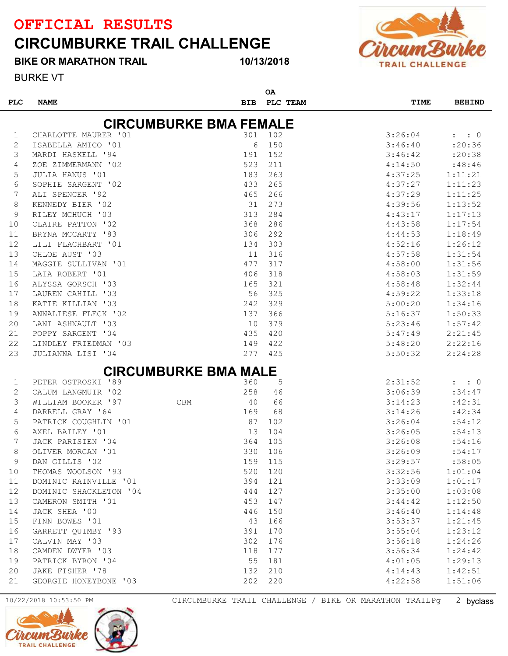### CIRCUMBURKE TRAIL CHALLENGE

BIKE OR MARATHON TRAIL

#### 10/13/2018



BURKE VT

| <b>PLC</b>  | <b>NAME</b>            | <b>BIB</b>                    | ΟA      | PLC TEAM | TIME    | <b>BEHIND</b>       |
|-------------|------------------------|-------------------------------|---------|----------|---------|---------------------|
|             |                        | <b>CIRCUMBURKE BMA FEMALE</b> |         |          |         |                     |
| 1           | CHARLOTTE MAURER '01   | 301                           | 102     |          | 3:26:04 | $\colon$ $\colon$ 0 |
| 2           | ISABELLA AMICO '01     | 6                             | 150     |          | 3:46:40 | : 20:36             |
| 3           | MARDI HASKELL '94      | 191                           | 152     |          | 3:46:42 | :20:38              |
| 4           | ZOE ZIMMERMANN '02     | 523                           |         | 211      | 4:14:50 | :48:46              |
| 5           | <b>JULIA HANUS '01</b> | 183                           |         | 263      | 4:37:25 | 1:11:21             |
| 6           | SOPHIE SARGENT '02     | 433                           |         | 265      | 4:37:27 | 1:11:23             |
| 7           | ALI SPENCER '92        | 465                           |         | 266      | 4:37:29 | 1:11:25             |
| 8           | KENNEDY BIER '02       | 31                            |         | 273      | 4:39:56 | 1:13:52             |
| 9           | RILEY MCHUGH '03       | 313                           |         | 284      | 4:43:17 | 1:17:13             |
| 10          | CLAIRE PATTON '02      | 368                           |         | 286      | 4:43:58 | 1:17:54             |
| 11          | BRYNA MCCARTY '83      | 306                           |         | 292      | 4:44:53 | 1:18:49             |
| 12          | LILI FLACHBART '01     | 134                           |         | 303      | 4:52:16 | 1:26:12             |
| 13          | CHLOE AUST '03         | 11                            |         | 316      | 4:57:58 | 1:31:54             |
| 14          | MAGGIE SULLIVAN '01    | 477                           |         | 317      | 4:58:00 | 1:31:56             |
| 15          | LAIA ROBERT '01        | 406                           |         | 318      | 4:58:03 | 1:31:59             |
| 16          | ALYSSA GORSCH '03      | 165                           |         | 321      | 4:58:48 | 1:32:44             |
| 17          | LAUREN CAHILL '03      | 56                            |         | 325      | 4:59:22 | 1:33:18             |
| 18          | KATIE KILLIAN '03      | 242                           |         | 329      | 5:00:20 | 1:34:16             |
| 19          | ANNALIESE FLECK '02    | 137                           |         | 366      | 5:16:37 | 1:50:33             |
| 20          | LANI ASHNAULT '03      | 10                            |         | 379      | 5:23:46 | 1:57:42             |
| 21          | POPPY SARGENT '04      | 435                           |         | 420      | 5:47:49 | 2:21:45             |
| 22          | LINDLEY FRIEDMAN '03   | 149                           |         | 422      | 5:48:20 | 2:22:16             |
| 23          | JULIANNA LISI '04      | 277                           |         | 425      | 5:50:32 | 2:24:28             |
|             |                        | <b>CIRCUMBURKE BMA MALE</b>   |         |          |         |                     |
| 1           | PETER OSTROSKI '89     | 360                           |         | 5        | 2:31:52 | $\colon$ $\colon$ 0 |
| $\mathbf 2$ | CALUM LANGMUIR '02     | 258                           |         | 46       | 3:06:39 | :34:47              |
| 3           | WILLIAM BOOKER '97     | 40<br><b>CBM</b>              |         | 66       | 3:14:23 | :42:31              |
| 4           | DARRELL GRAY '64       | 169                           |         | 68       | 3:14:26 | :42:34              |
| 5           | PATRICK COUGHLIN '01   | 87                            |         | 102      | 3:26:04 | :54:12              |
| 6           | AXEL BAILEY '01        | 13                            | 104     |          | 3:26:05 | :54:13              |
| 7           | JACK PARISIEN '04      | 364                           | 105     |          | 3:26:08 | :54:16              |
| 8           | OLIVER MORGAN '01      | 330                           | 106     |          | 3:26:09 | :54:17              |
| 9           | DAN GILLIS '02         | 159                           | 115     |          | 3:29:57 | :58:05              |
| 10          | THOMAS WOOLSON '93     | 520                           | 120     |          | 3:32:56 | 1:01:04             |
| 11          | DOMINIC RAINVILLE '01  | 394                           | 121     |          | 3:33:09 | 1:01:17             |
| 12          | DOMINIC SHACKLETON '04 | 444                           | 127     |          | 3:35:00 | 1:03:08             |
| 13          | CAMERON SMITH '01      | 453                           | 147     |          | 3:44:42 | 1:12:50             |
| 14          | JACK SHEA '00          | 446                           | 150     |          | 3:46:40 | 1:14:48             |
| 15          | FINN BOWES '01         | 43                            | 166     |          | 3:53:37 | 1:21:45             |
| 16          | GARRETT QUIMBY '93     | 391                           | 170     |          | 3:55:04 | 1:23:12             |
| 17          | CALVIN MAY '03         | 302                           | 176     |          | 3:56:18 | 1:24:26             |
| 18          | CAMDEN DWYER '03       | 118                           | 177     |          | 3:56:34 | 1:24:42             |
| 19          | PATRICK BYRON '04      | 55                            | 181     |          | 4:01:05 | 1:29:13             |
| 20          | JAKE FISHER '78        |                               | 132 210 |          | 4:14:43 | 1:42:51             |
| 21          | GEORGIE HONEYBONE '03  |                               | 202 220 |          | 4:22:58 | 1:51:06             |

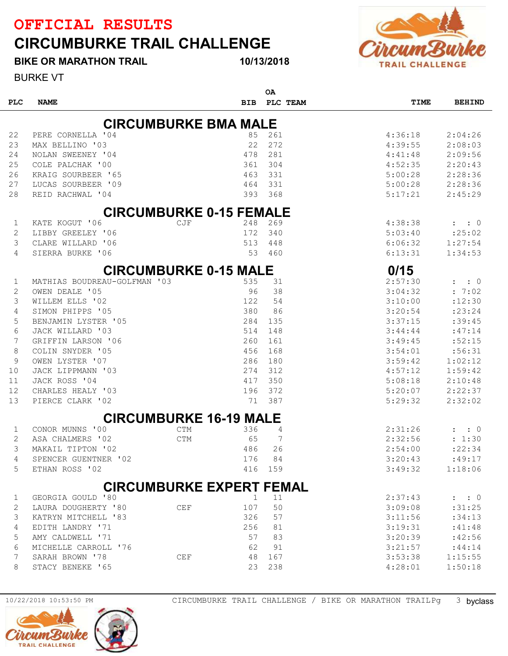## CIRCUMBURKE TRAIL CHALLENGE



BURKE VT BIKE OR MARATHON TRAIL

|            |                              |                                 |     | ΟA       |             |                                     |
|------------|------------------------------|---------------------------------|-----|----------|-------------|-------------------------------------|
| <b>PLC</b> | <b>NAME</b>                  | <b>BIB</b>                      |     | PLC TEAM | <b>TIME</b> | <b>BEHIND</b>                       |
|            |                              |                                 |     |          |             |                                     |
|            |                              | <b>CIRCUMBURKE BMA MALE</b>     |     |          |             |                                     |
| 22         | PERE CORNELLA '04            |                                 | 85  | 261      | 4:36:18     | 2:04:26                             |
| 23         | MAX BELLINO '03              |                                 | 22  | 272      | 4:39:55     | 2:08:03                             |
| 24         | NOLAN SWEENEY '04            |                                 | 478 | 281      | 4:41:48     | 2:09:56                             |
| 25         | COLE PALCHAK '00             |                                 | 361 | 304      | 4:52:35     | 2:20:43                             |
| 26         | KRAIG SOURBEER '65           |                                 | 463 | 331      | 5:00:28     | 2:28:36                             |
| 27         | LUCAS SOURBEER '09           |                                 | 464 | 331      | 5:00:28     | 2:28:36                             |
| 28         | REID RACHWAL '04             |                                 | 393 | 368      | 5:17:21     | 2:45:29                             |
|            |                              | <b>CIRCUMBURKE 0-15 FEMALE</b>  |     |          |             |                                     |
| 1          | KATE KOGUT '06               | CJF                             | 248 | 269      | 4:38:38     | $\colon 0$<br>$\mathbf{L}$          |
| 2          | LIBBY GREELEY '06            |                                 | 172 | 340      | 5:03:40     | : 25:02                             |
| 3          | CLARE WILLARD '06            |                                 | 513 | 448      | 6:06:32     | 1:27:54                             |
| 4          | SIERRA BURKE '06             |                                 | 53  | 460      | 6:13:31     | 1:34:53                             |
|            |                              |                                 |     |          |             |                                     |
|            |                              | <b>CIRCUMBURKE 0-15 MALE</b>    |     |          | 0/15        |                                     |
| 1          | MATHIAS BOUDREAU-GOLFMAN '03 |                                 | 535 | 31       | 2:57:30     | $\cdot$ : 0<br>$\ddot{\phantom{a}}$ |
| 2          | OWEN DEALE '05               |                                 | 96  | 38       | 3:04:32     | : 7:02                              |
| 3          | WILLEM ELLS '02              |                                 | 122 | 54       | 3:10:00     | :12:30                              |
| 4          | SIMON PHIPPS '05             |                                 | 380 | 86       | 3:20:54     | : 23: 24                            |
| 5          | BENJAMIN LYSTER '05          |                                 | 284 | 135      | 3:37:15     | :39:45                              |
| 6          | JACK WILLARD '03             |                                 | 514 | 148      | 3:44:44     | :47:14                              |
| 7          | GRIFFIN LARSON '06           |                                 | 260 | 161      | 3:49:45     | :52:15                              |
| 8          | COLIN SNYDER '05             |                                 | 456 | 168      | 3:54:01     | :56:31                              |
| 9          | OWEN LYSTER '07              |                                 | 286 | 180      | 3:59:42     | 1:02:12                             |
| 10         | JACK LIPPMANN '03            |                                 | 274 | 312      | 4:57:12     | 1:59:42                             |
| 11         | JACK ROSS '04                |                                 | 417 | 350      | 5:08:18     | 2:10:48                             |
| 12         | CHARLES HEALY '03            |                                 | 196 | 372      | 5:20:07     | 2:22:37                             |
| 13         | PIERCE CLARK '02             |                                 | 71  | 387      | 5:29:32     | 2:32:02                             |
|            |                              | <b>CIRCUMBURKE 16-19 MALE</b>   |     |          |             |                                     |
| 1          | CONOR MUNNS '00              | <b>CTM</b>                      | 336 | 4        | 2:31:26     | $\colon 0$                          |
| 2          | ASA CHALMERS '02             | <b>CTM</b>                      | 65  | 7        | 2:32:56     | : 1:30                              |
| 3          | MAKAIL TIPTON '02            |                                 | 486 | 26       | 2:54:00     | : 22:34                             |
| 4          | SPENCER GUENTNER '02         |                                 | 176 | 84       | 3:20:43     | :49:17                              |
| 5          | ETHAN ROSS '02               |                                 | 416 | 159      | 3:49:32     | 1:18:06                             |
|            |                              |                                 |     |          |             |                                     |
|            |                              | <b>CIRCUMBURKE EXPERT FEMAL</b> |     |          |             |                                     |
| 1          | GEORGIA GOULD '80            |                                 |     | 11       | 2:37:43     | $\colon$ $\colon$ 0                 |
| 2          | LAURA DOUGHERTY '80          | <b>CEF</b>                      | 107 | 50       | 3:09:08     | :31:25                              |
| 3          | KATRYN MITCHELL '83          |                                 | 326 | 57       | 3:11:56     | :34:13                              |
| 4          | EDITH LANDRY '71             |                                 | 256 | 81       | 3:19:31     | :41:48                              |
| 5          | AMY CALDWELL '71             |                                 | 57  | 83       | 3:20:39     | :42:56                              |
| 6          | MICHELLE CARROLL '76         |                                 | 62  | 91       | 3:21:57     | : 44:14                             |
| 7          | SARAH BROWN '78              | CEF                             | 48  | 167      | 3:53:38     | 1:15:55                             |
| 8          | STACY BENEKE '65             |                                 | 23  | 238      | 4:28:01     | 1:50:18                             |

10/13/2018

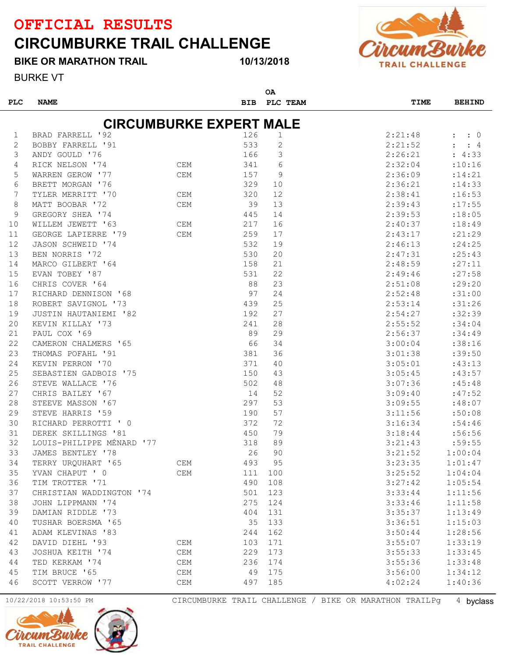## CIRCUMBURKE TRAIL CHALLENGE

BIKE OR MARATHON TRAIL

BURKE VT

```
10/13/2018
```


| <b>PLC</b> | <b>NAME</b>                    |            | <b>BIB</b> | ΟA<br>PLC TEAM | <b>TIME</b> | <b>BEHIND</b> |
|------------|--------------------------------|------------|------------|----------------|-------------|---------------|
|            |                                |            |            |                |             |               |
|            | <b>CIRCUMBURKE EXPERT MALE</b> |            |            |                |             |               |
| 1          | BRAD FARRELL '92               |            | 126        | 1              | 2:21:48     | $\colon 0$    |
| 2          | BOBBY FARRELL '91              |            | 533        | 2              | 2:21:52     | : 4           |
| 3          | ANDY GOULD '76                 |            | 166        | 3              | 2:26:21     | : 4:33        |
| 4          | CEM<br>RICK NELSON '74         |            | 341        | 6              | 2:32:04     | :10:16        |
| 5          | WARREN GEROW '77               | <b>CEM</b> | 157        | 9              | 2:36:09     | : 14:21       |
| 6          | BRETT MORGAN '76               |            | 329        | 10             | 2:36:21     | : 14:33       |
| 7          | TYLER MERRITT '70              | <b>CEM</b> | 320        | 12             | 2:38:41     | :16:53        |
| 8          | MATT BOOBAR '72                | CEM        | 39         | 13             | 2:39:43     | : 17:55       |
| 9          | GREGORY SHEA '74               |            | 445        | 14             | 2:39:53     | : 18:05       |
| 10         | WILLEM JEWETT '63              | <b>CEM</b> | 217        | 16             | 2:40:37     | : 18:49       |
| 11         | GEORGE LAPIERRE '79            | CEM        | 259        | 17             | 2:43:17     | : 21: 29      |
| 12         | JASON SCHWEID '74              |            | 532        | 19             | 2:46:13     | : 24:25       |
| 13         | BEN NORRIS '72                 |            | 530        | 20             | 2:47:31     | : 25:43       |
| 14         | MARCO GILBERT '64              |            | 158        | 21             | 2:48:59     | : 27:11       |
| 15         | EVAN TOBEY '87                 |            | 531        | 22             | 2:49:46     | : 27:58       |
| 16         | CHRIS COVER '64                |            | 88         | 23             | 2:51:08     | : 29:20       |
| 17         | RICHARD DENNISON '68           |            | 97         | 24             | 2:52:48     | :31:00        |
| 18         | ROBERT SAVIGNOL '73            |            | 439        | 25             | 2:53:14     | :31:26        |
| 19         | JUSTIN HAUTANIEMI '82          |            | 192        | 27             | 2:54:27     | :32:39        |
| 20         | KEVIN KILLAY '73               |            | 241        | 28             | 2:55:52     | :34:04        |
| 21         | PAUL COX '69                   |            | 89         | 29             | 2:56:37     | :34:49        |
| 22         | CAMERON CHALMERS '65           |            | 66         | 34             | 3:00:04     | :38:16        |
| 23         | THOMAS POFAHL '91              |            | 381        | 36             | 3:01:38     | :39:50        |
| 24         | KEVIN PERRON '70               |            | 371        | 40             | 3:05:01     | :43:13        |
| 25         | SEBASTIEN GADBOIS '75          |            | 150        | 43             | 3:05:45     | :43:57        |
| 26         | STEVE WALLACE '76              |            | 502        | 48             | 3:07:36     | :45:48        |
| 27         | CHRIS BAILEY '67               |            | 14         | 52             | 3:09:40     | :47:52        |
| 28         | STEEVE MASSON '67              |            | 297        | 53             | 3:09:55     | :48:07        |
| 29         | STEVE HARRIS '59               |            | 190        | 57             | 3:11:56     | :50:08        |
| 30         | RICHARD PERROTTI ' 0           |            | 372        | 72             | 3:16:34     | :54:46        |
| 31         | DEREK SKILLINGS '81            |            | 450        | 79             | 3:18:44     | :56:56        |
| 32         | LOUIS-PHILIPPE MÉNARD '77      |            | 318        | 89             | 3:21:43     | :59:55        |
| 33         | JAMES BENTLEY '78              |            | 26         | 90             | 3:21:52     | 1:00:04       |
| 34         | TERRY URQUHART '65             | CEM        | 493        | 95             | 3:23:35     | 1:01:47       |
| 35         | YVAN CHAPUT ' 0                | <b>CEM</b> | 111        | 100            | 3:25:52     | 1:04:04       |
| 36         | TIM TROTTER '71                |            | 490        | 108            | 3:27:42     | 1:05:54       |
| 37         | CHRISTIAN WADDINGTON '74       |            | 501        | 123            | 3:33:44     | 1:11:56       |
| 38         | JOHN LIPPMANN '74              |            | 275        | 124            | 3:33:46     | 1:11:58       |
| 39         | DAMIAN RIDDLE '73              |            | 404        | 131            | 3:35:37     | 1:13:49       |
| 40         | TUSHAR BOERSMA '65             |            | 35         | 133            | 3:36:51     | 1:15:03       |
| 41         | ADAM KLEVINAS '83              |            | 244        | 162            | 3:50:44     | 1:28:56       |
| 42         | DAVID DIEHL '93                | <b>CEM</b> | 103        | 171            | 3:55:07     | 1:33:19       |
| 43         | JOSHUA KEITH '74               | CEM        | 229        | 173            | 3:55:33     | 1:33:45       |
| 44         | TED KERKAM '74                 | CEM        | 236        | 174            | 3:55:36     | 1:33:48       |
| 45         | TIM BRUCE '65                  | <b>CEM</b> | 49         | 175            | 3:56:00     | 1:34:12       |
| 46         | SCOTT VERROW '77               | CEM        | 497        | 185            | 4:02:24     | 1:40:36       |
|            |                                |            |            |                |             |               |



10/22/2018 10:53:50 PM CIRCUMBURKE TRAIL CHALLENGE / BIKE OR MARATHON TRAILPg 4 byclass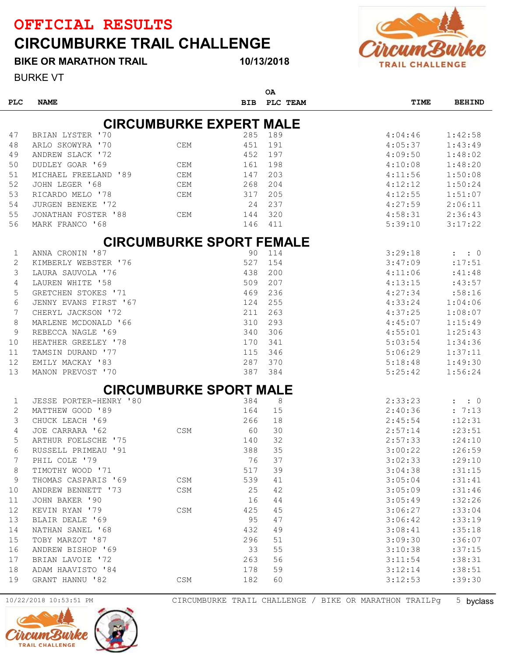BIKE OR MARATHON TRAIL

## CIRCUMBURKE TRAIL CHALLENGE



BURKE VT

|             |                         |                                 |            | <b>OA</b> |         |                            |
|-------------|-------------------------|---------------------------------|------------|-----------|---------|----------------------------|
| <b>PLC</b>  | <b>NAME</b>             |                                 | <b>BIB</b> | PLC TEAM  | TIME    | <b>BEHIND</b>              |
|             |                         | <b>CIRCUMBURKE EXPERT MALE</b>  |            |           |         |                            |
| 47          | BRIAN LYSTER '70        |                                 | 285        | 189       | 4:04:46 | 1:42:58                    |
| 48          | ARLO SKOWYRA '70        | CEM                             | 451        | 191       | 4:05:37 | 1:43:49                    |
| 49          | ANDREW SLACK '72        |                                 | 452        | 197       | 4:09:50 | 1:48:02                    |
| 50          | DUDLEY GOAR '69         | <b>CEM</b>                      | 161        | 198       | 4:10:08 | 1:48:20                    |
| 51          | MICHAEL FREELAND '89    | <b>CEM</b>                      | 147        | 203       | 4:11:56 | 1:50:08                    |
| 52          | JOHN LEGER '68          | <b>CEM</b>                      | 268        | 204       | 4:12:12 | 1:50:24                    |
| 53          | RICARDO MELO '78        | <b>CEM</b>                      | 317        | 205       | 4:12:55 | 1:51:07                    |
| 54          | JURGEN BENEKE '72       |                                 | 24         | 237       | 4:27:59 | 2:06:11                    |
| 55          | JONATHAN FOSTER '88     | <b>CEM</b>                      | 144        | 320       | 4:58:31 | 2:36:43                    |
| 56          | MARK FRANCO '68         |                                 | 146        | 411       | 5:39:10 | 3:17:22                    |
|             |                         |                                 |            |           |         |                            |
|             |                         | <b>CIRCUMBURKE SPORT FEMALE</b> |            |           |         |                            |
| 1           | ANNA CRONIN '87         |                                 | 90         | 114       | 3:29:18 | $\colon$ $\colon$ 0        |
| 2           | KIMBERLY WEBSTER '76    |                                 | 527        | 154       | 3:47:09 | :17:51                     |
| 3           | LAURA SAUVOLA '76       |                                 | 438        | 200       | 4:11:06 | :41:48                     |
| 4           | LAUREN WHITE '58        |                                 | 509        | 207       | 4:13:15 | :43:57                     |
| 5           | GRETCHEN STOKES '71     |                                 | 469        | 236       | 4:27:34 | :58:16                     |
| 6           | JENNY EVANS FIRST '67   |                                 | 124        | 255       | 4:33:24 | 1:04:06                    |
| 7           | CHERYL JACKSON '72      |                                 | 211        | 263       | 4:37:25 | 1:08:07                    |
| 8           | MARLENE MCDONALD '66    |                                 | 310        | 293       | 4:45:07 | 1:15:49                    |
| 9           | REBECCA NAGLE '69       |                                 | 340        | 306       | 4:55:01 | 1:25:43                    |
| 10          | HEATHER GREELEY '78     |                                 | 170        | 341       | 5:03:54 | 1:34:36                    |
| 11          | TAMSIN DURAND '77       |                                 | 115        | 346       | 5:06:29 | 1:37:11                    |
| 12          | EMILY MACKAY '83        |                                 | 287        | 370       | 5:18:48 | 1:49:30                    |
| 13          | MANON PREVOST '70       |                                 | 387        | 384       | 5:25:42 | 1:56:24                    |
|             |                         | <b>CIRCUMBURKE SPORT MALE</b>   |            |           |         |                            |
| 1           | JESSE PORTER-HENRY '80  |                                 | 384        | 8         | 2:33:23 | $\colon 0$<br>$\mathbf{r}$ |
| 2           | MATTHEW GOOD '89        |                                 | 164        | 15        | 2:40:36 | : 7:13                     |
| 3           | CHUCK LEACH '69         |                                 | 266        | 18        | 2:45:54 | : 12: 31                   |
| 4           | JOE CARRARA '62         | <b>CSM</b>                      | 60         | 30        | 2:57:14 | : 23:51                    |
| 5           | ARTHUR FOELSCHE<br>' 75 |                                 | 140        | 32        | 2:57:33 | : 24:10                    |
| 6           | RUSSELL PRIMEAU '91     |                                 | 388        | 35        | 3:00:22 | :26:59                     |
| 7           | PHIL COLE '79           |                                 | 76         | 37        | 3:02:33 | :29:10                     |
| 8           | TIMOTHY WOOD '71        |                                 | 517        | 39        | 3:04:38 | :31:15                     |
| $\mathsf 9$ | THOMAS CASPARIS '69     | CSM                             | 539        | 41        | 3:05:04 | :31:41                     |
| 10          | ANDREW BENNETT '73      | CSM                             | 25         | 42        | 3:05:09 | : 31:46                    |
| 11          | JOHN BAKER '90          |                                 | 16         | $4\,4$    | 3:05:49 | :32:26                     |
| 12          | KEVIN RYAN '79          | <b>CSM</b>                      | 425        | 45        | 3:06:27 | :33:04                     |
| 13          | BLAIR DEALE '69         |                                 | 95         | 47        | 3:06:42 | :33:19                     |
| 14          | NATHAN SANEL '68        |                                 | 432        | 49        | 3:08:41 | :35:18                     |
| 15          | TOBY MARZOT '87         |                                 | 296        | 51        | 3:09:30 | :36:07                     |
| 16          | ANDREW BISHOP '69       |                                 | 33         | 55        | 3:10:38 | :37:15                     |
| 17          | BRIAN LAVOIE '72        |                                 | 263        | 56        | 3:11:54 | :38:31                     |
| 18          | ADAM HAAVISTO '84       |                                 | 178        | 59        | 3:12:14 | :38:51                     |
| 19          | GRANT HANNU '82         | CSM                             | 182        | 60        | 3:12:53 | :39:30                     |
|             |                         |                                 |            |           |         |                            |

10/13/2018

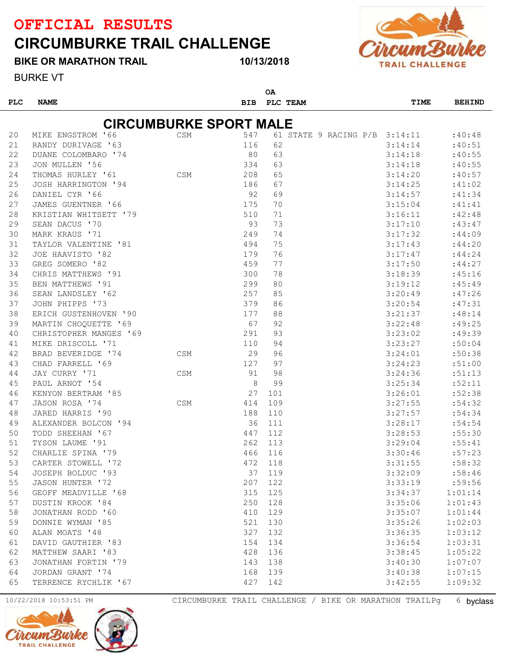## CIRCUMBURKE TRAIL CHALLENGE

BIKE OR MARATHON TRAIL

10/13/2018



BURKE VT

| <b>PLC</b><br><b>NAME</b><br>PLC TEAM<br><b>BIB</b><br><b>CIRCUMBURKE SPORT MALE</b> | TIME<br><b>BEHIND</b><br>:40:48<br>3:14:14<br>:40:51 |
|--------------------------------------------------------------------------------------|------------------------------------------------------|
|                                                                                      |                                                      |
|                                                                                      |                                                      |
|                                                                                      |                                                      |
| 547<br>20<br>MIKE ENGSTROM '66<br>61 STATE 9 RACING P/B 3:14:11<br>CSM               |                                                      |
| 21<br>RANDY DURIVAGE '63<br>62<br>116                                                |                                                      |
| 22<br>80<br>63<br>DUANE COLOMBARO '74                                                | 3:14:18<br>:40:55                                    |
| 63<br>23<br>JON MULLEN '56<br>334                                                    | 3:14:18<br>:40:55                                    |
| <b>CSM</b><br>65<br>24<br>THOMAS HURLEY '61<br>208                                   | 3:14:20<br>:40:57                                    |
| 25<br>67<br>JOSH HARRINGTON '94<br>186                                               | 3:14:25<br>:41:02                                    |
| 26<br>92<br>69<br>DANIEL CYR '66                                                     | 3:14:57<br>: 41:34                                   |
| 27<br>JAMES GUENTNER '66<br>175<br>70                                                | 3:15:04<br>: 41:41                                   |
| 28<br>KRISTIAN WHITSETT '79<br>510<br>71                                             | 3:16:11<br>:42:48                                    |
| 93<br>73<br>29<br>SEAN DACUS '70                                                     | 3:17:10<br>:43:47                                    |
| 30<br>MARK KRAUS '71<br>249<br>74                                                    | 3:17:32<br>: 44:09                                   |
| 494<br>75<br>31<br>TAYLOR VALENTINE '81                                              | 3:17:43<br>: 44:20                                   |
| 32<br>76<br>JOE HAAVISTO '82<br>179                                                  | 3:17:47<br>: 44:24                                   |
| 77<br>33<br>GREG SOMERO '82<br>459                                                   | 3:17:50<br>: 44:27                                   |
| 78<br>34<br>CHRIS MATTHEWS '91<br>300                                                | 3:18:39<br>:45:16                                    |
| 35<br>BEN MATTHEWS '91<br>299<br>80                                                  | 3:19:12<br>: 45: 49                                  |
| 36<br>257<br>85<br>SEAN LANDSLEY '62                                                 | 3:20:49<br>:47:26                                    |
| 37<br>JOHN PHIPPS '73<br>86<br>379                                                   | 3:20:54<br>:47:31                                    |
| 88<br>38<br>ERICH GUSTENHOVEN '90<br>177                                             | 3:21:37<br>:48:14                                    |
| 67<br>92<br>39<br>MARTIN CHOQUETTE '69                                               | 3:22:48<br>:49:25                                    |
| 93<br>40<br>CHRISTOPHER MANGES '69<br>291                                            | 3:23:02<br>:49:39                                    |
| 94<br>MIKE DRISCOLL '71<br>110<br>41                                                 | 3:23:27<br>:50:04                                    |
| 29<br>96<br>42<br>BRAD BEVERIDGE '74<br>CSM                                          | 3:24:01<br>:50:38                                    |
| 97<br>43<br>CHAD FARRELL '69<br>127                                                  | 3:24:23<br>:51:00                                    |
| 98<br>JAY CURRY '71<br>91<br>44<br><b>CSM</b>                                        | 3:24:36<br>: 51:13                                   |
| 8<br>99<br>45<br>PAUL ARNOT '54                                                      | 3:25:34<br>:52:11                                    |
| 27<br>46<br>KENYON BERTRAM '85<br>101                                                | 3:26:01<br>:52:38                                    |
| 109<br>47<br>JASON ROSA '74<br>CSM<br>414                                            | 3:27:55<br>:54:32                                    |
| 48<br>JARED HARRIS '90<br>188<br>110                                                 | 3:27:57<br>: 54: 34                                  |
| 49<br>ALEXANDER BOLCON '94<br>36<br>111                                              | 3:28:17<br>:54:54                                    |
| 50<br>TODD SHEEHAN '67<br>447<br>112                                                 | 3:28:53<br>:55:30                                    |
| TYSON LAUME '91<br>262<br>113<br>51                                                  | 3:29:04<br>: 55: 41                                  |
| 52<br>CHARLIE SPINA '79<br>466<br>116                                                | 3:30:46<br>:57:23                                    |
| 472<br>118<br>CARTER STOWELL '72<br>53                                               | 3:31:55<br>:58:32                                    |
| 37<br>119<br>JOSEPH BOLDUC '93<br>54                                                 | 3:32:09<br>:58:46                                    |
| 122<br>55<br>JASON HUNTER '72<br>207                                                 | 3:33:19<br>:59:56                                    |
| 125<br>56<br>GEOFF MEADVILLE '68<br>315                                              | 3:34:37<br>1:01:14                                   |
| 128<br>57<br>DUSTIN KROOK '84<br>250                                                 | 3:35:06<br>1:01:43                                   |
| 129<br>58<br>JONATHAN RODD '60<br>410                                                | 3:35:07<br>1:01:44                                   |
| 59<br>DONNIE WYMAN '85<br>521<br>130                                                 | 3:35:26<br>1:02:03                                   |
| ALAN MOATS '48<br>327<br>132<br>60                                                   | 1:03:12<br>3:36:35                                   |
| DAVID GAUTHIER '83<br>154<br>134<br>61                                               | 1:03:31<br>3:36:54                                   |
| 136<br>62<br>MATTHEW SAARI '83<br>428                                                | 1:05:22<br>3:38:45                                   |
| JONATHAN FORTIN '79<br>143<br>138<br>63                                              | 1:07:07<br>3:40:30                                   |
| JORDAN GRANT '74<br>168<br>139<br>64                                                 | 1:07:15<br>3:40:38                                   |
| 65<br>TERRENCE RYCHLIK '67<br>427<br>142                                             | 1:09:32<br>3:42:55                                   |





10/22/2018 10:53:51 PM CIRCUMBURKE TRAIL CHALLENGE / BIKE OR MARATHON TRAILPg 6 byclass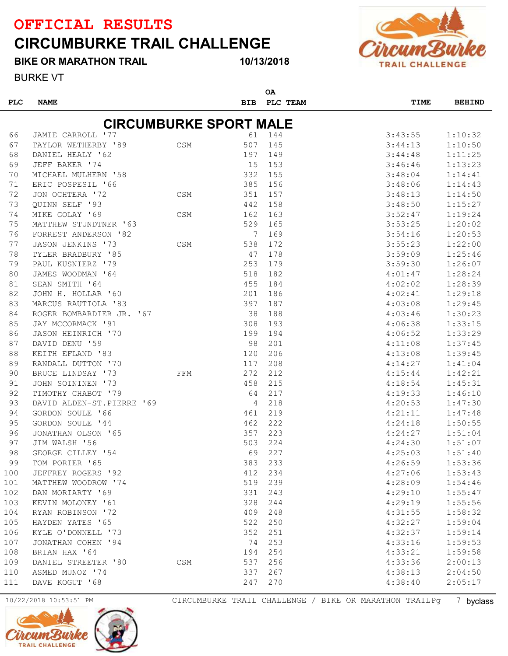## CIRCUMBURKE TRAIL CHALLENGE

#### BIKE OR MARATHON TRAIL

#### 10/13/2018

 $\sim$ 



BURKE VT

| <b>PLC</b> | <b>NAME</b>                   |            | <b>BIB</b> | ັ<br>PLC TEAM | TIME    | <b>BEHIND</b> |
|------------|-------------------------------|------------|------------|---------------|---------|---------------|
|            | <b>CIRCUMBURKE SPORT MALE</b> |            |            |               |         |               |
| 66         | JAMIE CARROLL '77             |            | 61         | 144           | 3:43:55 | 1:10:32       |
| 67         | TAYLOR WETHERBY '89           | <b>CSM</b> | 507        | 145           | 3:44:13 | 1:10:50       |
| 68         | DANIEL HEALY '62              |            | 197        | 149           | 3:44:48 | 1:11:25       |
| 69         | JEFF BAKER '74                |            | 15         | 153           | 3:46:46 | 1:13:23       |
| 70         | MICHAEL MULHERN '58           |            | 332        | 155           | 3:48:04 | 1:14:41       |
| 71         | ERIC POSPESIL '66             |            | 385        | 156           | 3:48:06 | 1:14:43       |
| 72         | JON OCHTERA '72               | CSM        | 351        | 157           | 3:48:13 | 1:14:50       |
| 73         | QUINN SELF '93                |            | 442        | 158           | 3:48:50 | 1:15:27       |
| 74         | MIKE GOLAY '69                | CSM        | 162        | 163           | 3:52:47 | 1:19:24       |
| 75         | MATTHEW STUNDTNER '63         |            | 529        | 165           | 3:53:25 | 1:20:02       |
| 76         | FORREST ANDERSON '82          |            | 7          | 169           | 3:54:16 | 1:20:53       |
| 77         | <b>JASON JENKINS '73</b>      | CSM        | 538        | 172           | 3:55:23 | 1:22:00       |
| 78         | TYLER BRADBURY '85            |            | 47         | 178           | 3:59:09 | 1:25:46       |
| 79         | PAUL KUSNIERZ '79             |            | 253        | 179           | 3:59:30 | 1:26:07       |
| 80         | JAMES WOODMAN '64             |            | 518        | 182           | 4:01:47 | 1:28:24       |
| 81         | SEAN SMITH '64                |            | 455        | 184           | 4:02:02 | 1:28:39       |
| 82         | JOHN H. HOLLAR '60            |            | 201        | 186           | 4:02:41 | 1:29:18       |
| 83         | MARCUS RAUTIOLA '83           |            | 397        | 187           | 4:03:08 | 1:29:45       |
| 84         | ROGER BOMBARDIER JR. '67      |            | 38         | 188           | 4:03:46 | 1:30:23       |
| 85         | JAY MCCORMACK '91             |            | 308        | 193           | 4:06:38 | 1:33:15       |
| 86         | JASON HEINRICH '70            |            | 199        | 194           | 4:06:52 | 1:33:29       |
| 87         | DAVID DENU '59                |            | 98         | 201           | 4:11:08 | 1:37:45       |
| 88         | KEITH EFLAND '83              |            | 120        | 206           | 4:13:08 | 1:39:45       |
| 89         | RANDALL DUTTON '70            |            | 117        | 208           | 4:14:27 | 1:41:04       |
| 90         | BRUCE LINDSAY '73             | FFM        | 272        | 212           | 4:15:44 | 1:42:21       |
| 91         | JOHN SOININEN '73             |            | 458        | 215           | 4:18:54 | 1:45:31       |
| 92         | TIMOTHY CHABOT '79            |            | 64         | 217           | 4:19:33 | 1:46:10       |
| 93         | DAVID ALDEN-ST.PIERRE '69     |            | 4          | 218           | 4:20:53 | 1:47:30       |
| 94         | GORDON SOULE '66              |            | 461        | 219           | 4:21:11 | 1:47:48       |
| 95         | GORDON SOULE '44              |            | 462        | 222           | 4:24:18 | 1:50:55       |
| 96         | JONATHAN OLSON '65            |            | 357        | 223           | 4:24:27 | 1:51:04       |
| 97         | JIM WALSH '56                 |            | 503        | 224           | 4:24:30 | 1:51:07       |
| 98         | GEORGE CILLEY '54             |            | 69         | 227           | 4:25:03 | 1:51:40       |
| 99         | TOM PORIER '65                |            | 383        | 233           | 4:26:59 | 1:53:36       |
| 100        | JEFFREY ROGERS '92            |            |            | 412 234       | 4:27:06 | 1:53:43       |
| 101        | MATTHEW WOODROW '74           |            |            | 519 239       | 4:28:09 | 1:54:46       |
| 102        | DAN MORIARTY '69              |            |            | 331 243       | 4:29:10 | 1:55:47       |
| 103        | KEVIN MOLONEY '61             |            |            | 328 244       | 4:29:19 | 1:55:56       |
| 104        | RYAN ROBINSON '72             |            |            | 409 248       | 4:31:55 | 1:58:32       |
| 105        | HAYDEN YATES '65              |            |            | 522 250       | 4:32:27 | 1:59:04       |
| 106        | KYLE O'DONNELL '73            |            |            | 352 251       | 4:32:37 | 1:59:14       |
| 107        | JONATHAN COHEN '94            |            |            | 74 253        | 4:33:16 | 1:59:53       |
| 108        | BRIAN HAX '64                 |            |            | 194 254       | 4:33:21 | 1:59:58       |
| 109        | DANIEL STREETER '80           | CSM        |            | 537 256       | 4:33:36 | 2:00:13       |
| 110        | ASMED MUNOZ '74               |            |            | 337 267       | 4:38:13 | 2:04:50       |
| 111        | DAVE KOGUT '68                |            |            | 247 270       | 4:38:40 | 2:05:17       |
|            |                               |            |            |               |         |               |



10/22/2018 10:53:51 PM CIRCUMBURKE TRAIL CHALLENGE / BIKE OR MARATHON TRAILPg 7 byclass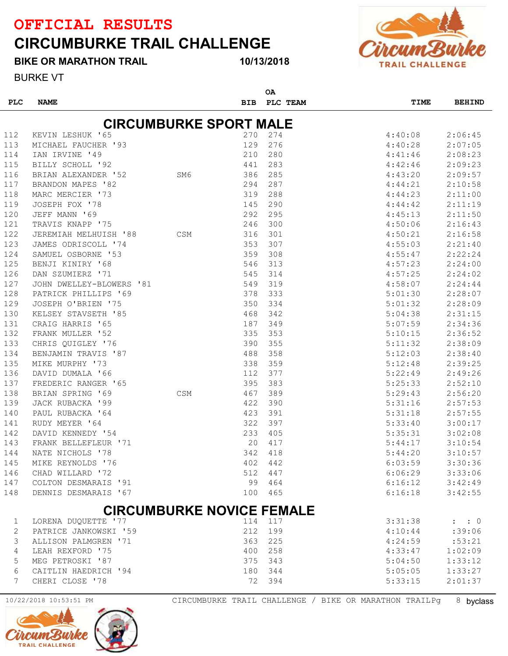### CIRCUMBURKE TRAIL CHALLENGE



#### 10/13/2018



BURKE VT

| <b>PLC</b> | <b>NAME</b>                                                                                                                                                                                                                                        |     | <b>BIB</b> | <b>OA</b><br><b>PLC TEAM</b> | TIME    | <b>BEHIND</b>       |
|------------|----------------------------------------------------------------------------------------------------------------------------------------------------------------------------------------------------------------------------------------------------|-----|------------|------------------------------|---------|---------------------|
|            |                                                                                                                                                                                                                                                    |     |            |                              |         |                     |
|            | <b>CIRCUMBURKE SPORT MALE</b>                                                                                                                                                                                                                      |     |            |                              |         |                     |
| 112        | KEVIN LESHUK '65                                                                                                                                                                                                                                   |     | 270        | 274                          | 4:40:08 | 2:06:45             |
| 113        |                                                                                                                                                                                                                                                    |     | 129        | 276                          | 4:40:28 | 2:07:05             |
| 114        |                                                                                                                                                                                                                                                    |     | 210        | 280                          | 4:41:46 | 2:08:23             |
| 115        |                                                                                                                                                                                                                                                    |     | 441        | 283                          | 4:42:46 | 2:09:23             |
| 116        |                                                                                                                                                                                                                                                    |     | 386        | 285                          | 4:43:20 | 2:09:57             |
| 117        | $\frac{100}{100}$<br>BRANDON MAPES '82                                                                                                                                                                                                             |     | 294        | 287                          | 4:44:21 | 2:10:58             |
| 118        | MARC MERCIER '73                                                                                                                                                                                                                                   |     | 319        | 288                          | 4:44:23 | 2:11:00             |
| 119        | JOSEPH FOX '78                                                                                                                                                                                                                                     |     | 145        | 290                          | 4:44:42 | 2:11:19             |
| 120        | JEFF MANN '69                                                                                                                                                                                                                                      |     | 292        | 295                          | 4:45:13 | 2:11:50             |
| 121        | TRAVIS KNAPP '75                                                                                                                                                                                                                                   |     | 246        | 300                          | 4:50:06 | 2:16:43             |
| 122        | JEREMIAH MELHUISH '88 CSM                                                                                                                                                                                                                          |     | 316        | 301                          | 4:50:21 | 2:16:58             |
| 123        |                                                                                                                                                                                                                                                    |     | 353        | 307                          | 4:55:03 | 2:21:40             |
| 124        |                                                                                                                                                                                                                                                    |     | 359        | 308                          | 4:55:47 | 2:22:24             |
| 125        |                                                                                                                                                                                                                                                    |     | 546        | 313                          | 4:57:23 | 2:24:00             |
| 126        |                                                                                                                                                                                                                                                    |     | 545        | 314                          | 4:57:25 | 2:24:02             |
| 127        |                                                                                                                                                                                                                                                    |     | 549        | 319                          | 4:58:07 | 2:24:44             |
| 128        |                                                                                                                                                                                                                                                    |     | 378        | 333                          | 5:01:30 | 2:28:07             |
| 129        |                                                                                                                                                                                                                                                    |     | 350        | 334                          | 5:01:32 | 2:28:09             |
| 130        |                                                                                                                                                                                                                                                    |     | 468        | 342                          | 5:04:38 | 2:31:15             |
| 131        |                                                                                                                                                                                                                                                    |     | 187        | 349                          | 5:07:59 | 2:34:36             |
| 132        |                                                                                                                                                                                                                                                    |     | 335        | 353                          | 5:10:15 | 2:36:52             |
| 133        | JEREMIAH MELHUISH '88<br>JAMES ODRISCOLL '74<br>SAMUEL OSBORNE '53<br>BENJI KINIRY '68<br>DAN SZUMIERZ '71<br>JOHN DWELLEY-BLOWERS '81<br>PATRICK PHILLIPS '69<br>JOSEPH O'BRIEN '75<br>KELSEY STAVSETH '85<br>CRAIG HARRIS '65<br>FRANK MULLER '5 |     | 390        | 355                          | 5:11:32 | 2:38:09             |
| 134        |                                                                                                                                                                                                                                                    |     | 488        | 358                          | 5:12:03 | 2:38:40             |
| 135        |                                                                                                                                                                                                                                                    |     | 338        | 359                          | 5:12:48 | 2:39:25             |
| 136        |                                                                                                                                                                                                                                                    |     | 112        | 377                          | 5:22:49 | 2:49:26             |
| 137        |                                                                                                                                                                                                                                                    |     | 395        | 383                          | 5:25:33 | 2:52:10             |
| 138        | BRIAN SPRING '69                                                                                                                                                                                                                                   | CSM | 467        | 389                          | 5:29:43 | 2:56:20             |
| 139        | JACK RUBACKA '99                                                                                                                                                                                                                                   |     | 422        | 390                          | 5:31:16 | 2:57:53             |
| 140        | PAUL RUBACKA '64                                                                                                                                                                                                                                   |     | 423        | 391                          | 5:31:18 | 2:57:55             |
| 141        | RUDY MEYER '64                                                                                                                                                                                                                                     |     | 322        | 397                          | 5:33:40 | 3:00:17             |
| 142        | DAVID KENNEDY '54                                                                                                                                                                                                                                  |     | 233        | 405                          | 5:35:31 | 3:02:08             |
| 143        | FRANK BELLEFLEUR '71                                                                                                                                                                                                                               |     | 20         | 417                          | 5:44:17 | 3:10:54             |
| 144        | NATE NICHOLS '78                                                                                                                                                                                                                                   |     | 342        | 418                          | 5:44:20 | 3:10:57             |
| 145        | MIKE REYNOLDS '76                                                                                                                                                                                                                                  |     | 402        | 442                          | 6:03:59 | 3:30:36             |
| 146        | CHAD WILLARD '72                                                                                                                                                                                                                                   |     | 512        | 447                          | 6:06:29 | 3:33:06             |
| 147        | COLTON DESMARAIS '91                                                                                                                                                                                                                               |     | 99         | 464                          | 6:16:12 | 3:42:49             |
| 148        | DENNIS DESMARAIS '67                                                                                                                                                                                                                               |     | 100        | 465                          | 6:16:18 | 3:42:55             |
|            |                                                                                                                                                                                                                                                    |     |            |                              |         |                     |
|            | <b>CIRCUMBURKE NOVICE FEMALE</b>                                                                                                                                                                                                                   |     |            |                              |         |                     |
| 1          | LORENA DUQUETTE '77                                                                                                                                                                                                                                |     | 114        | 117                          | 3:31:38 | $\colon$ $\colon$ 0 |
| 2          | PATRICE JANKOWSKI '59                                                                                                                                                                                                                              |     | 212        | 199                          | 4:10:44 | :39:06              |
| 3          | ALLISON PALMGREN '71                                                                                                                                                                                                                               |     | 363        | 225                          | 4:24:59 | :53:21              |
| 4          | LEAH REXFORD '75                                                                                                                                                                                                                                   |     | 400        | 258                          | 4:33:47 | 1:02:09             |
| 5          | MEG PETROSKI '87                                                                                                                                                                                                                                   |     | 375        | 343                          | 5:04:50 | 1:33:12             |
| 6          | CAITLIN HAEDRICH '94                                                                                                                                                                                                                               |     | 180        | 344                          | 5:05:05 | 1:33:27             |
| 7          | CHERI CLOSE '78                                                                                                                                                                                                                                    |     | 72         | 394                          | 5:33:15 | 2:01:37             |



10/22/2018 10:53:51 PM CIRCUMBURKE TRAIL CHALLENGE / BIKE OR MARATHON TRAILPg 8 byclass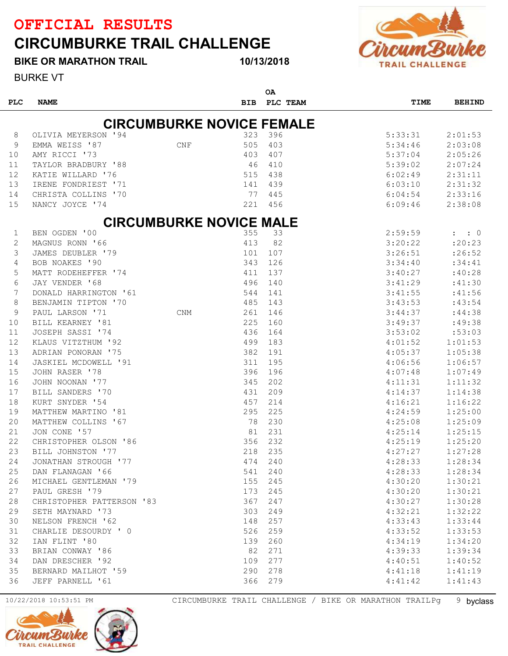## CIRCUMBURKE TRAIL CHALLENGE



BIKE OR MARATHON TRAIL

BURKE VT

#### 10/13/2018

 $\sim$ 

| <b>PLC</b> | <b>NAME</b>               |                                  | <b>BIB</b> | <b>UA</b><br>PLC TEAM | TIME    | <b>BEHIND</b> |
|------------|---------------------------|----------------------------------|------------|-----------------------|---------|---------------|
|            |                           | <b>CIRCUMBURKE NOVICE FEMALE</b> |            |                       |         |               |
| 8          | OLIVIA MEYERSON '94       |                                  | 323        | 396                   | 5:33:31 | 2:01:53       |
| 9          | EMMA WEISS '87            | CNF                              | 505        | 403                   | 5:34:46 | 2:03:08       |
| 10         | AMY RICCI '73             |                                  | 403        | 407                   | 5:37:04 | 2:05:26       |
| 11         | TAYLOR BRADBURY '88       |                                  | 46         | 410                   | 5:39:02 | 2:07:24       |
| 12         | KATIE WILLARD '76         |                                  | 515        | 438                   | 6:02:49 | 2:31:11       |
| 13         | IRENE FONDRIEST '71       |                                  | 141        | 439                   | 6:03:10 | 2:31:32       |
| 14         | CHRISTA COLLINS '70       |                                  | 77         | 445                   | 6:04:54 | 2:33:16       |
| 15         | NANCY JOYCE '74           |                                  | 221        | 456                   | 6:09:46 | 2:38:08       |
|            |                           |                                  |            |                       |         |               |
|            |                           | <b>CIRCUMBURKE NOVICE MALE</b>   |            |                       |         |               |
| 1          | BEN OGDEN '00             |                                  | 355        | 33                    | 2:59:59 | : : 0         |
| 2          | MAGNUS RONN '66           |                                  | 413        | 82                    | 3:20:22 | :20:23        |
| 3          | JAMES DEUBLER '79         |                                  | 101        | 107                   | 3:26:51 | : 26:52       |
| 4          | BOB NOAKES '90            |                                  | 343        | 126                   | 3:34:40 | : 34:41       |
| 5          | MATT RODEHEFFER '74       |                                  | 411        | 137                   | 3:40:27 | :40:28        |
| 6          | JAY VENDER '68            |                                  | 496        | 140                   | 3:41:29 | :41:30        |
| 7          | DONALD HARRINGTON '61     |                                  | 544        | 141                   | 3:41:55 | :41:56        |
| 8          | BENJAMIN TIPTON '70       |                                  | 485        | 143                   | 3:43:53 | :43:54        |
| 9          | PAUL LARSON '71           | <b>CNM</b>                       | 261        | 146                   | 3:44:37 | :44:38        |
| 10         | BILL KEARNEY '81          |                                  | 225        | 160                   | 3:49:37 | :49:38        |
| 11         | JOSEPH SASSI '74          |                                  | 436        | 164                   | 3:53:02 | :53:03        |
| 12         | KLAUS VITZTHUM '92        |                                  | 499        | 183                   | 4:01:52 | 1:01:53       |
| 13         | ADRIAN PONORAN '75        |                                  | 382        | 191                   | 4:05:37 | 1:05:38       |
| 14         | JASKIEL MCDOWELL '91      |                                  | 311        | 195                   | 4:06:56 | 1:06:57       |
| 15         | JOHN RASER '78            |                                  | 396        | 196                   | 4:07:48 | 1:07:49       |
| 16         | JOHN NOONAN '77           |                                  | 345        | 202                   | 4:11:31 | 1:11:32       |
| 17         | BILL SANDERS '70          |                                  | 431        | 209                   | 4:14:37 | 1:14:38       |
| 18         | KURT SNYDER '54           |                                  | 457        | 214                   | 4:16:21 | 1:16:22       |
| 19         | MATTHEW MARTINO '81       |                                  | 295        | 225                   | 4:24:59 | 1:25:00       |
| 20         | MATTHEW COLLINS '67       |                                  | 78         | 230                   | 4:25:08 | 1:25:09       |
| 21         | JON CONE '57              |                                  | 81         | 231                   | 4:25:14 | 1:25:15       |
| 22         | CHRISTOPHER OLSON '86     |                                  | 356        | 232                   | 4:25:19 | 1:25:20       |
| 23         | BILL JOHNSTON '77         |                                  | 218        | 235                   | 4:27:27 | 1:27:28       |
| 24         | JONATHAN STROUGH '77      |                                  | 474        | 240                   | 4:28:33 | 1:28:34       |
| 25         | DAN FLANAGAN '66          |                                  | 541        | 240                   | 4:28:33 | 1:28:34       |
| 26         | MICHAEL GENTLEMAN '79     |                                  | 155        | 245                   | 4:30:20 | 1:30:21       |
| 27         | PAUL GRESH '79            |                                  | 173        | 245                   | 4:30:20 | 1:30:21       |
| 28         | CHRISTOPHER PATTERSON '83 |                                  | 367        | 247                   | 4:30:27 | 1:30:28       |
| 29         | SETH MAYNARD '73          |                                  | 303        | 249                   | 4:32:21 | 1:32:22       |
| 30         | NELSON FRENCH '62         |                                  | 148        | 257                   | 4:33:43 | 1:33:44       |
| 31         | CHARLIE DESOURDY ' 0      |                                  | 526        | 259                   | 4:33:52 | 1:33:53       |
| 32         | IAN FLINT '80             |                                  | 139        | 260                   | 4:34:19 | 1:34:20       |
| 33         | BRIAN CONWAY '86          |                                  | 82         | 271                   | 4:39:33 | 1:39:34       |
| 34         | DAN DRESCHER '92          |                                  | 109        | 277                   | 4:40:51 | 1:40:52       |
| 35         | BERNARD MAILHOT '59       |                                  | 290        | 278                   | 4:41:18 | 1:41:19       |
| 36         | JEFF PARNELL '61          |                                  | 366        | 279                   | 4:41:42 | 1:41:43       |

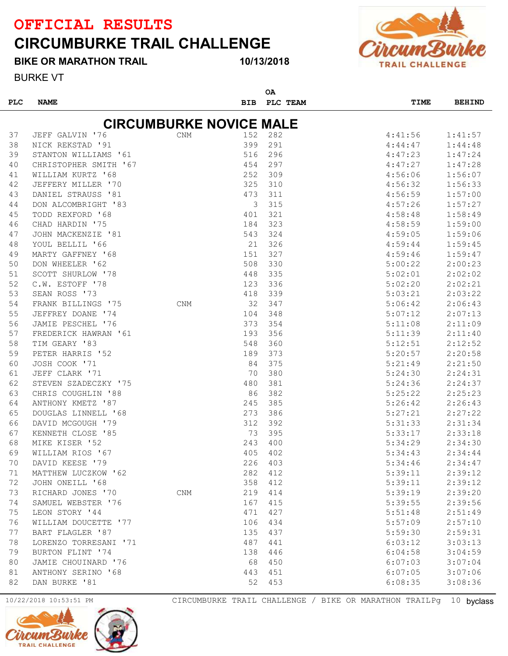### CIRCUMBURKE TRAIL CHALLENGE

#### BIKE OR MARATHON TRAIL

#### 10/13/2018



BURKE VT

|            |                                |            |            | ΟA       |         |               |
|------------|--------------------------------|------------|------------|----------|---------|---------------|
| <b>PLC</b> | <b>NAME</b>                    |            | <b>BIB</b> | PLC TEAM | TIME    | <b>BEHIND</b> |
|            |                                |            |            |          |         |               |
|            | <b>CIRCUMBURKE NOVICE MALE</b> |            |            |          |         |               |
| 37         | JEFF GALVIN '76                | <b>CNM</b> | 152        | 282      | 4:41:56 | 1:41:57       |
| 38         | NICK REKSTAD '91               |            | 399        | 291      | 4:44:47 | 1:44:48       |
| 39         | STANTON WILLIAMS '61           |            | 516        | 296      | 4:47:23 | 1:47:24       |
| 40         | CHRISTOPHER SMITH '67          |            | 454        | 297      | 4:47:27 | 1:47:28       |
| 41         | WILLIAM KURTZ '68              |            | 252        | 309      | 4:56:06 | 1:56:07       |
| 42         | JEFFERY MILLER '70             |            | 325        | 310      | 4:56:32 | 1:56:33       |
| 43         | DANIEL STRAUSS '81             |            | 473        | 311      | 4:56:59 | 1:57:00       |
| 44         | DON ALCOMBRIGHT '83            |            | 3          | 315      | 4:57:26 | 1:57:27       |
| 45         | TODD REXFORD '68               |            | 401        | 321      | 4:58:48 | 1:58:49       |
| 46         | CHAD HARDIN '75                |            | 184        | 323      | 4:58:59 | 1:59:00       |
| 47         | JOHN MACKENZIE '81             |            | 543        | 324      | 4:59:05 | 1:59:06       |
| 48         | YOUL BELLIL '66                |            | 21         | 326      | 4:59:44 | 1:59:45       |
| 49         | MARTY GAFFNEY '68              |            | 151        | 327      | 4:59:46 | 1:59:47       |
| 50         | DON WHEELER '62                |            | 508        | 330      | 5:00:22 | 2:00:23       |
| 51         | SCOTT SHURLOW '78              |            | 448        | 335      | 5:02:01 | 2:02:02       |
| 52         | C.W. ESTOFF '78                |            | 123        | 336      | 5:02:20 | 2:02:21       |
| 53         | SEAN ROSS '73                  |            | 418        | 339      | 5:03:21 | 2:03:22       |
| 54         | FRANK BILLINGS '75             | <b>CNM</b> | 32         | 347      | 5:06:42 | 2:06:43       |
| 55         | JEFFREY DOANE '74              |            | 104        | 348      | 5:07:12 | 2:07:13       |
| 56         | JAMIE PESCHEL '76              |            | 373        | 354      | 5:11:08 | 2:11:09       |
| 57         | FREDERICK HAWRAN '61           |            | 193        | 356      | 5:11:39 | 2:11:40       |
| 58         | TIM GEARY '83                  |            | 548        | 360      | 5:12:51 | 2:12:52       |
| 59         | PETER HARRIS '52               |            | 189        | 373      | 5:20:57 | 2:20:58       |
| 60         | JOSH COOK '71                  |            | 84         | 375      | 5:21:49 | 2:21:50       |
| 61         | JEFF CLARK '71                 |            | 70         | 380      | 5:24:30 | 2:24:31       |
| 62         | STEVEN SZADECZKY '75           |            | 480        | 381      | 5:24:36 | 2:24:37       |
| 63         | CHRIS COUGHLIN '88             |            | 86         | 382      | 5:25:22 | 2:25:23       |
| 64         | ANTHONY KMETZ '87              |            | 245        | 385      | 5:26:42 | 2:26:43       |
| 65         | DOUGLAS LINNELL '68            |            | 273        | 386      | 5:27:21 | 2:27:22       |
| 66         | DAVID MCGOUGH '79              |            | 312        | 392      | 5:31:33 | 2:31:34       |
| 67         | KENNETH CLOSE '85              |            | 73         | 395      | 5:33:17 | 2:33:18       |
| 68         | MIKE KISER '52                 |            | 243        | 400      | 5:34:29 | 2:34:30       |
| 69         | WILLIAM RIOS '67               |            | 405        | 402      | 5:34:43 | 2:34:44       |
| 70         | DAVID KEESE '79                |            | 226        | 403      | 5:34:46 | 2:34:47       |
| 71         | MATTHEW LUCZKOW '62            |            | 282        | 412      | 5:39:11 | 2:39:12       |
| 72         | JOHN ONEILL '68                |            | 358        | 412      | 5:39:11 | 2:39:12       |
| 73         | RICHARD JONES '70              | <b>CNM</b> | 219        | 414      | 5:39:19 | 2:39:20       |
| 74         | SAMUEL WEBSTER '76             |            | 167        | 415      | 5:39:55 | 2:39:56       |
| 75         | LEON STORY '44                 |            | 471        | 427      | 5:51:48 | 2:51:49       |
| 76         | WILLIAM DOUCETTE '77           |            | 106        | 434      | 5:57:09 | 2:57:10       |
| 77         | BART FLAGLER '87               |            | 135        | 437      | 5:59:30 | 2:59:31       |
| 78         | LORENZO TORRESANI '71          |            | 487        | 441      | 6:03:12 | 3:03:13       |
| 79         | BURTON FLINT '74               |            | 138        | 446      | 6:04:58 | 3:04:59       |
| 80         | JAMIE CHOUINARD '76            |            | 68         | 450      | 6:07:03 | 3:07:04       |
| 81         | ANTHONY SERINO '68             |            | 443        | 451      | 6:07:05 | 3:07:06       |
| 82         | DAN BURKE '81                  |            | 52         | 453      | 6:08:35 | 3:08:36       |
|            |                                |            |            |          |         |               |



10/22/2018 10:53:51 PM CIRCUMBURKE TRAIL CHALLENGE / BIKE OR MARATHON TRAILPg 10 byclass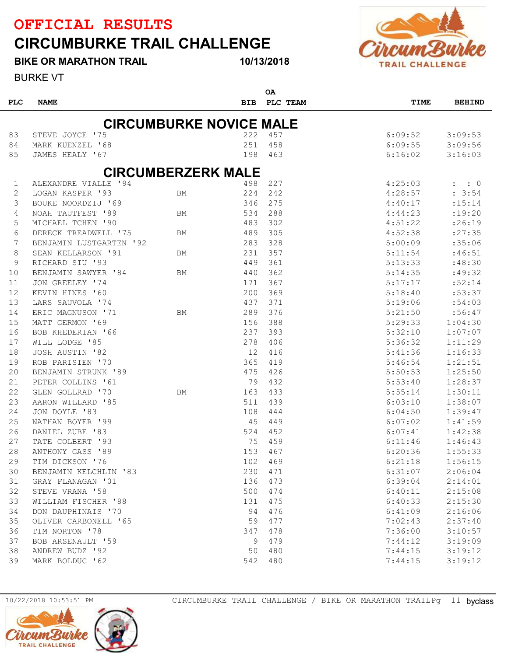BIKE OR MARATHON TRAIL

### CIRCUMBURKE TRAIL CHALLENGE



BURKE VT

PLC NAME BIB PLC TEAM OA TIME BEHIND **CIRCUMBURKE NOVICE MALE**  STEVE JOYCE '75 222 457 6:09:52 3:09:53 MARK KUENZEL '68 251 458 6:09:55 3:09:56 JAMES HEALY '67 198 463 6:16:02 3:16:03 CIRCUMBERZERK MALE ALEXANDRE VIALLE '94 498 227 4:25:03 : : 0 LOGAN KASPER '93 BM 224 242 4:28:57 : 3:54 BOUKE NOORDZIJ '69 346 275 4:40:17 :15:14 NOAH TAUTFEST '89 BM 534 288 4:44:23 :19:20 MICHAEL TCHEN '90 483 302 4:51:22 :26:19 DERECK TREADWELL '75 BM 489 305 4:52:38 :27:35 BENJAMIN LUSTGARTEN '92 283 328 5:00:09 :35:06 8 SEAN KELLARSON '91 BM 231 357 5:11:54 :46:51 RICHARD SIU '93 449 361 5:13:33 :48:30 10 BENJAMIN SAWYER '84 BM 440 362 5:14:35 :49:32 11 JON GREELEY '74 171 367 5:17:17 :52:14 KEVIN HINES '60 200 369 5:18:40 :53:37 13 LARS SAUVOLA '74 6 = 437 371 5:19:06 :54:03 ERIC MAGNUSON '71 BM 289 376 5:21:50 :56:47 MATT GERMON '69 156 388 5:29:33 1:04:30 BOB KHEDERIAN '66 237 393 5:32:10 1:07:07 WILL LODGE '85 278 406 5:36:32 1:11:29 JOSH AUSTIN '82 12 416 5:41:36 1:16:33 ROB PARISIEN '70 365 419 5:46:54 1:21:51 BENJAMIN STRUNK '89 475 426 5:50:53 1:25:50 PETER COLLINS '61 79 432 5:53:40 1:28:37 GLEN GOLLRAD '70 BM 163 433 5:55:14 1:30:11 AARON WILLARD '85 511 439 6:03:10 1:38:07 JON DOYLE '83 108 444 6:04:50 1:39:47 NATHAN BOYER '99 45 449 6:07:02 1:41:59 DANIEL ZUBE '83 524 452 6:07:41 1:42:38 TATE COLBERT '93 75 459 6:11:46 1:46:43 ANTHONY GASS '89 153 467 6:20:36 1:55:33 TIM DICKSON '76 102 469 6:21:18 1:56:15 BENJAMIN KELCHLIN '83 230 471 6:31:07 2:06:04 GRAY FLANAGAN '01 136 473 6:39:04 2:14:01 STEVE VRANA '58 500 474 6:40:11 2:15:08 WILLIAM FISCHER '88 131 475 6:40:33 2:15:30 DON DAUPHINAIS '70 94 476 6:41:09 2:16:06 35 OLIVER CARBONELL '65 59 477 59 477 7:02:43 2:37:40 TIM NORTON '78 347 478 7:36:00 3:10:57 BOB ARSENAULT '59 9 479 7:44:12 3:19:09 ANDREW BUDZ '92 50 480 7:44:15 3:19:12 MARK BOLDUC '62 542 480 7:44:15 3:19:12

10/13/2018